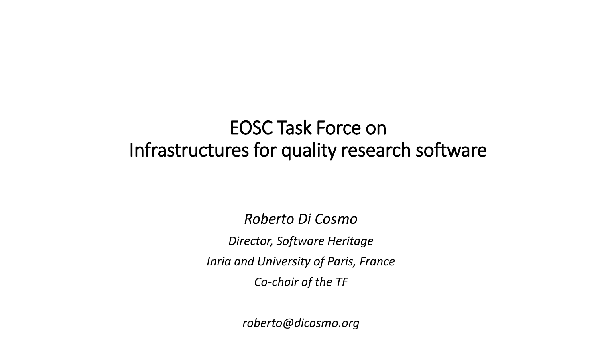### EOSC Task Force on Infrastructures for quality research software

*Roberto Di Cosmo Director, Software Heritage Inria and University of Paris, France Co-chair of the TF*

*roberto@dicosmo.org*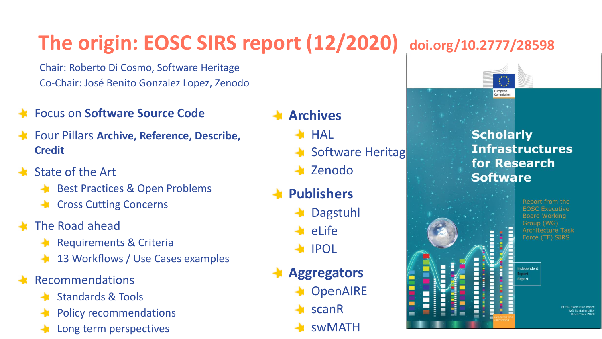## **The origin: EOSC SIRS report (12/2020) doi.org/10.2777/28598**

Chair: Roberto Di Cosmo, Software Heritage Co-Chair: José Benito Gonzalez Lopez, Zenodo

- Focus on **Software Source Code**
- Four Pillars **Archive, Reference, Describe, Credit**
- State of the Art
	- **Best Practices & Open Problems**
	- Cross Cutting Concerns
- The Road ahead
	- Requirements & Criteria
	- 13 Workflows / Use Cases examples
- Recommendations
	- **Standards & Tools**
	- Policy recommendations
	- Long term perspectives

### **Archives**

- $\blacktriangleright$  HAL
- $\blacktriangle$  Software Heritag
- Zenodo
- **Publishers**
	- Dagstuhl
	- eLife
	- **A** IPOL
- **Aggregators**
	- OpenAIRE
	- scanR
	- swMATH



#### **Scholarly Infrastructures** for Research **Software**

Report from the **EOSC Executive** Board Working Group (WG) Architecture Task Force (TF) SIRS

Independent Renort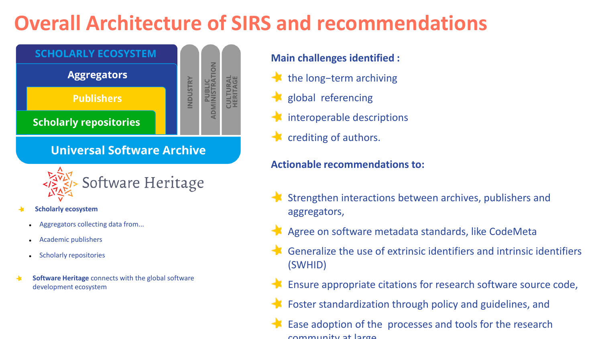### **Overall Architecture of SIRS and recommendations**



- **Scholarly ecosystem**
	- Aggregators collecting data from...
	- Academic publishers
	- Scholarly repositories
- **Software Heritage** connects with the global software development ecosystem

#### **Main challenges identified :**

- **the long-term archiving**
- $\ddot{\phantom{1}}$ global referencing
- $\blacktriangle$  interoperable descriptions
- crediting of authors.

#### **Actionable recommendations to:**

- Strengthen interactions between archives, publishers and aggregators,
- Agree on software metadata standards, like CodeMeta
- Generalize the use of extrinsic identifiers and intrinsic identifiers (SWHID)
- Ensure appropriate citations for research software source code,
- **SECTED AFTERS ARRY ENDING** Foster standardization through policy and guidelines, and
	- Ease adoption of the processes and tools for the research community at large.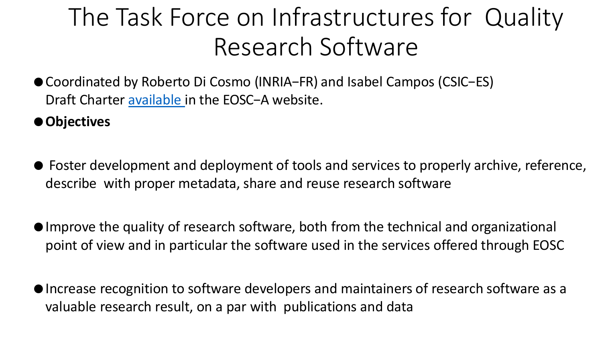# The Task Force on Infrastructures for Quality Research Software

- ●Coordinated by Roberto Di Cosmo (INRIA−FR) and Isabel Campos (CSIC−ES) Draft Charter [available](https://www.eosc.eu/sites/default/files/tfcharters/eosca_tfinfrastructureforqualityresearchsoftware_draftcharter_20210614.pdf) in the EOSC−A website.
- ●**Objectives**
- Foster development and deployment of tools and services to properly archive, reference, describe with proper metadata, share and reuse research software
- ●Improve the quality of research software, both from the technical and organizational point of view and in particular the software used in the services offered through EOSC
- ●Increase recognition to software developers and maintainers of research software as a valuable research result, on a par with publications and data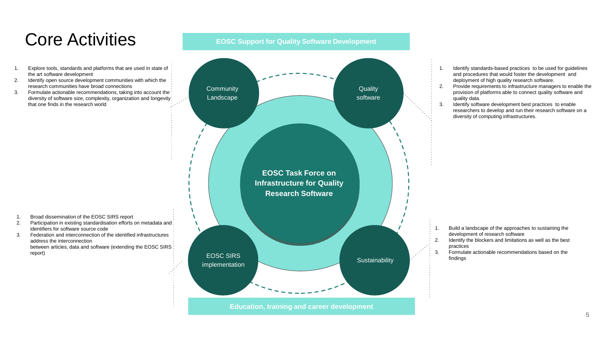### Core Activities

- 1. Explore tools, standards and platforms that are used in state of the art software development
- 2. Identify open source development communities with which the research communities have broad connections
- 3. Formulate actionable recommendations, taking into account the diversity of software size, complexity, organization and longevity that one finds in the research world

#### **EOSC Support for Quality Software Development**



- 1. Identify standards-based practices to be used for guidelines and procedures that would foster the development and deployment of high quality research software.
- 2. Provide requirements to infrastructure managers to enable the provision of platforms able to connect quality software and quality data.
- 3. Identify software development best practices to enable researchers to develop and run their research software on a diversity of computing infrastructures.

- 1. Broad dissemination of the EOSC SIRS report
- 2. Participation in existing standardisation efforts on metadata and identifiers for software source code
- 3. Federation and interconnection of the identified infrastructures address the interconnection between articles, data and software (extending the EOSC SIRS) report)
- 1. Build a landscape of the approaches to sustaining the development of research software
- 2. Identify the blockers and limitations as well as the best practices
- 3. Formulate actionable recommendations based on the findings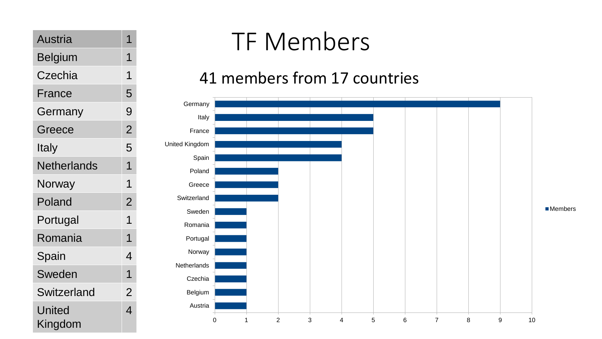| Austria            | 1              |
|--------------------|----------------|
| Belgium            | 1              |
| Czechia            | 1              |
| France             | 5              |
| Germany            | 9              |
| Greece             | $\overline{2}$ |
| Italy              | 5              |
| <b>Netherlands</b> | 1              |
| Norway             | 1              |
| Poland             | $\overline{2}$ |
| Portugal           | 1              |
| Romania            | 1              |
| Spain              | 4              |
| Sweden             | 1              |
| Switzerland        | $\overline{2}$ |
| United<br>Kingdom  | 4              |

# TF Members

### 41 members from 17 countries

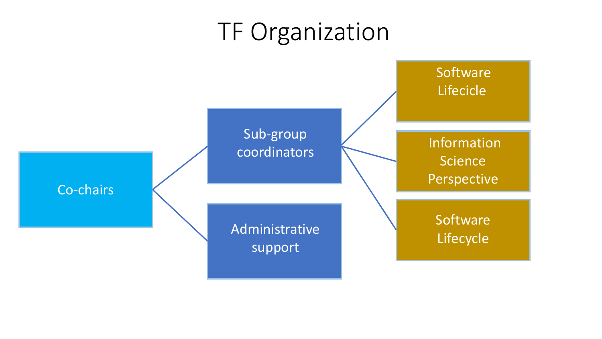# TF Organization